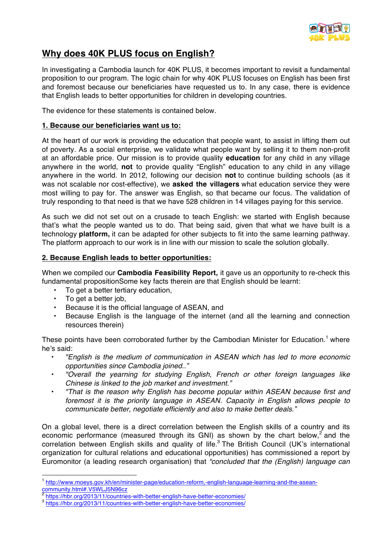

# **Why does 40K PLUS focus on English?**

In investigating a Cambodia launch for 40K PLUS, it becomes important to revisit a fundamental proposition to our program. The logic chain for why 40K PLUS focuses on English has been first and foremost because our beneficiaries have requested us to. In any case, there is evidence that English leads to better opportunities for children in developing countries.

The evidence for these statements is contained below.

## **1. Because our beneficiaries want us to:**

At the heart of our work is providing the education that people want, to assist in lifting them out of poverty. As a social enterprise, we validate what people want by selling it to them non-profit at an affordable price. Our mission is to provide quality **education** for any child in any village anywhere in the world, **not** to provide quality "English" education to any child in any village anywhere in the world. In 2012, following our decision **not** to continue building schools (as it was not scalable nor cost-effective), we **asked the villagers** what education service they were most willing to pay for. The answer was English, so that became our focus. The validation of truly responding to that need is that we have 528 children in 14 villages paying for this service.

As such we did not set out on a crusade to teach English: we started with English because that's what the people wanted us to do. That being said, given that what we have built is a technology **platform,** it can be adapted for other subjects to fit into the same learning pathway. The platform approach to our work is in line with our mission to scale the solution globally.

## **2. Because English leads to better opportunities:**

When we compiled our **Cambodia Feasibility Report,** it gave us an opportunity to re-check this fundamental propositionSome key facts therein are that English should be learnt:

- To get a better tertiary education,
- To get a better job,
- Because it is the official language of ASEAN, and
- Because English is the language of the internet (and all the learning and connection resources therein)

These points have been corroborated further by the Cambodian Minister for Education.<sup>1</sup> where he's said:

- *"English is the medium of communication in ASEAN which has led to more economic opportunities since Cambodia joined.."*
- *"Overall the yearning for studying English, French or other foreign languages like Chinese is linked to the job market and investment."*
- *"That is the reason why English has become popular within ASEAN because first and foremost it is the priority language in ASEAN. Capacity in English allows people to communicate better, negotiate efficiently and also to make better deals."*

On a global level, there is a direct correlation between the English skills of a country and its economic performance (measured through its GNI) as shown by the chart below,<sup>2</sup> and the correlation between English skills and quality of life.<sup>3</sup> The British Council (UK's international organization for cultural relations and educational opportunities) has commissioned a report by Euromonitor (a leading research organisation) that *"concluded that the (English) language can* 

 <sup>1</sup> http://www.moeys.gov.kh/en/minister-page/education-reform,-english-language-learning-and-the-aseancommunity.html#.V5WLJ5N96cz<br>
2 https://hbr.org/2013/11/countries-with-better-english-have-better-economies/

<sup>2</sup> https://hbr.org/2013/11/countries-with-better-english-have-better-economies/ <sup>3</sup> https://hbr.org/2013/11/countries-with-better-english-have-better-economies/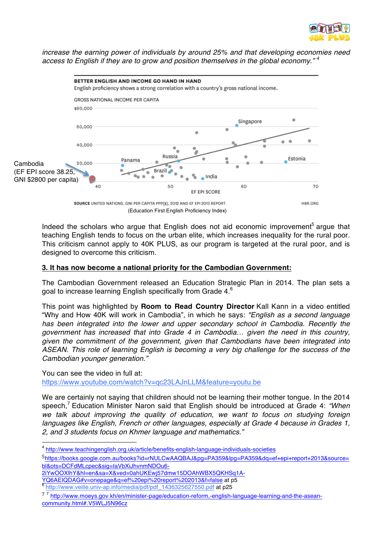

*increase the earning power of individuals by around 25% and that developing economies need access to English if they are to grow and position themselves in the global economy." <sup>4</sup>*



Indeed the scholars who argue that English does not aid economic improvement<sup>5</sup> argue that teaching English tends to focus on the urban elite, which increases inequality for the rural poor. This criticism cannot apply to 40K PLUS, as our program is targeted at the rural poor, and is designed to overcome this criticism.

## **3. It has now become a national priority for the Cambodian Government:**

The Cambodian Government released an Education Strategic Plan in 2014. The plan sets a goal to increase learning English specifically from Grade 4. $^6$ 

This point was highlighted by **Room to Read Country Director** Kall Kann in a video entitled "Why and How 40K will work in Cambodia", in which he says: *"English as a second language has been integrated into the lower and upper secondary school in Cambodia. Recently the government has increased that into Grade 4 in Cambodia… given the need in this country, given the commitment of the government, given that Cambodians have been integrated into ASEAN. This role of learning English is becoming a very big challenge for the success of the Cambodian younger generation."* 

You can see the video in full at:

https://www.youtube.com/watch?v=qc23LAJnLLM&feature=youtu.be

We are certainly not saying that children should not be learning their mother tongue. In the 2014 speech,<sup>7</sup> Education Minister Naron said that English should be introduced at Grade 4: *"When we talk about improving the quality of education, we want to focus on studying foreign languages like English, French or other languages, especially at Grade 4 because in Grades 1, 2, and 3 students focus on Khmer language and mathematics."*

- 2iYwOOXlhY&hl=en&sa=X&ved=0ahUKEwj57dmw15DOAhWBX5QKHSq1A-
- YQ6AEIQDAG#v=onepage&q=ef%20epi%20report%202013&f=false at p5<br><sup>6</sup> http://www.veille.univ-ap.info/media/pdf/pdf\_1436325627550.pdf at p25

 <sup>4</sup> http://www.teachingenglish.org.uk/article/benefits-english-language-individuals-societies

 $5$ https://books.google.com.au/books?id=rNULCwAAQBAJ&pg=PA359&lpg=PA359&dq=ef+epi+report+2013&source= bl&ots=DCFdMLcpec&sig=IaVbXiJhvnmNDOu6-

<sup>7</sup> <sup>7</sup> http://www.moeys.gov.kh/en/minister-page/education-reform,-english-language-learning-and-the-aseancommunity.html#.V5WLJ5N96cz